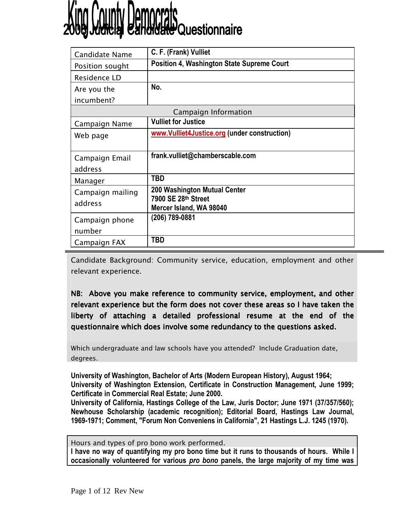# <sup>J</sup>Questionnaire

| <b>Candidate Name</b> | C. F. (Frank) Vulliet                             |  |
|-----------------------|---------------------------------------------------|--|
| Position sought       | <b>Position 4, Washington State Supreme Court</b> |  |
| Residence LD          |                                                   |  |
| Are you the           | No.                                               |  |
| incumbent?            |                                                   |  |
| Campaign Information  |                                                   |  |
| Campaign Name         | <b>Vulliet for Justice</b>                        |  |
| Web page              | www.Vulliet4Justice.org (under construction)      |  |
|                       |                                                   |  |
| Campaign Email        | frank.vulliet@chamberscable.com                   |  |
| address               |                                                   |  |
| Manager               | <b>TBD</b>                                        |  |
| Campaign mailing      | 200 Washington Mutual Center                      |  |
| address               | 7900 SE 28th Street                               |  |
|                       | Mercer Island, WA 98040<br>(206) 789-0881         |  |
| Campaign phone        |                                                   |  |
| number                |                                                   |  |
| Campaign FAX          | <b>TBD</b>                                        |  |

Candidate Background: Community service, education, employment and other relevant experience.

NB: Above you make reference to community service, employment, and other relevant experience but the form does not cover these areas so I have taken the liberty of attaching a detailed professional resume at the end of the questionnaire which does involve some redundancy to the questions asked.

Which undergraduate and law schools have you attended? Include Graduation date, degrees.

University of Washington, Bachelor of Arts (Modern European History), August 1964; University of Washington Extension, Certificate in Construction Management, June 1999; Certificate in Commercial Real Estate; June 2000.

University of California, Hastings College of the Law, Juris Doctor; June 1971 (37/357/560); Newhouse Scholarship (academic recognition); Editorial Board, Hastings Law Journal, 1969-1971; Comment, "Forum Non Conveniens in California", 21 Hastings L.J. 1245 (1970).

Hours and types of pro bono work performed.

I have no way of quantifying my pro bono time but it runs to thousands of hours. While I occasionally volunteered for various pro bono panels, the large majority of my time was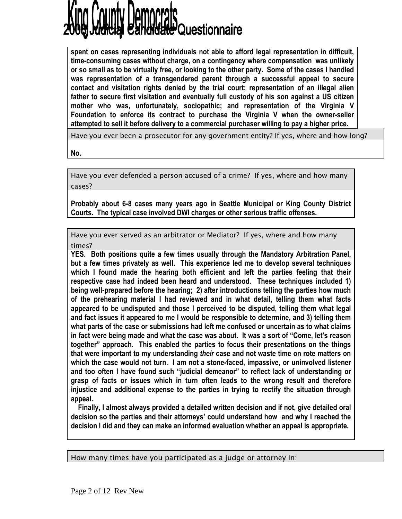# **te** Questionnaire

spent on cases representing individuals not able to afford legal representation in difficult, time-consuming cases without charge, on a contingency where compensation was unlikely or so small as to be virtually free, or looking to the other party. Some of the cases I handled was representation of a transgendered parent through a successful appeal to secure contact and visitation rights denied by the trial court; representation of an illegal alien father to secure first visitation and eventually full custody of his son against a US citizen mother who was, unfortunately, sociopathic; and representation of the Virginia V Foundation to enforce its contract to purchase the Virginia V when the owner-seller attempted to sell it before delivery to a commercial purchaser willing to pay a higher price.

Have you ever been a prosecutor for any government entity? If yes, where and how long?

No.

Have you ever defended a person accused of a crime? If yes, where and how many cases?

Probably about 6-8 cases many years ago in Seattle Municipal or King County District Courts. The typical case involved DWI charges or other serious traffic offenses.

Have you ever served as an arbitrator or Mediator? If yes, where and how many times?

YES. Both positions quite a few times usually through the Mandatory Arbitration Panel, but a few times privately as well. This experience led me to develop several techniques which I found made the hearing both efficient and left the parties feeling that their respective case had indeed been heard and understood. These techniques included 1) being well-prepared before the hearing; 2) after introductions telling the parties how much of the prehearing material I had reviewed and in what detail, telling them what facts appeared to be undisputed and those I perceived to be disputed, telling them what legal and fact issues it appeared to me I would be responsible to determine, and 3) telling them what parts of the case or submissions had left me confused or uncertain as to what claims in fact were being made and what the case was about. It was a sort of "Come, let's reason together" approach. This enabled the parties to focus their presentations on the things that were important to my understanding their case and not waste time on rote matters on which the case would not turn. I am not a stone-faced, impassive, or uninvolved listener and too often I have found such "judicial demeanor" to reflect lack of understanding or grasp of facts or issues which in turn often leads to the wrong result and therefore injustice and additional expense to the parties in trying to rectify the situation through appeal.

 Finally, I almost always provided a detailed written decision and if not, give detailed oral decision so the parties and their attorneys' could understand how and why I reached the decision I did and they can make an informed evaluation whether an appeal is appropriate.

How many times have you participated as a judge or attorney in: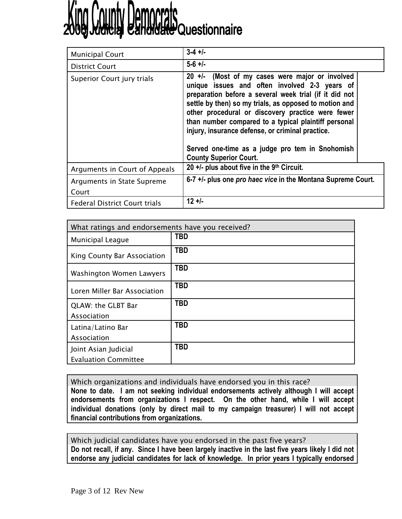# **County Democrats**<br>County Bandrate Questionnaire

| <b>Municipal Court</b>               | $3-4 +1$                                                                                                                                                                                                                                                                                                                                                                                                                                                                    |
|--------------------------------------|-----------------------------------------------------------------------------------------------------------------------------------------------------------------------------------------------------------------------------------------------------------------------------------------------------------------------------------------------------------------------------------------------------------------------------------------------------------------------------|
| <b>District Court</b>                | $5-6$ +/-                                                                                                                                                                                                                                                                                                                                                                                                                                                                   |
| Superior Court jury trials           | $20$ +/- (Most of my cases were major or involved<br>unique issues and often involved 2-3 years of<br>preparation before a several week trial (if it did not<br>settle by then) so my trials, as opposed to motion and<br>other procedural or discovery practice were fewer<br>than number compared to a typical plaintiff personal<br>injury, insurance defense, or criminal practice.<br>Served one-time as a judge pro tem in Snohomish<br><b>County Superior Court.</b> |
| Arguments in Court of Appeals        | 20 $+/-$ plus about five in the 9th Circuit.                                                                                                                                                                                                                                                                                                                                                                                                                                |
| Arguments in State Supreme           | 6-7 +/- plus one pro haec vice in the Montana Supreme Court.                                                                                                                                                                                                                                                                                                                                                                                                                |
| Court                                |                                                                                                                                                                                                                                                                                                                                                                                                                                                                             |
| <b>Federal District Court trials</b> | $12 +1$                                                                                                                                                                                                                                                                                                                                                                                                                                                                     |

| What ratings and endorsements have you received? |            |  |
|--------------------------------------------------|------------|--|
| Municipal League                                 | <b>TBD</b> |  |
| King County Bar Association                      | <b>TBD</b> |  |
| Washington Women Lawyers                         | <b>TBD</b> |  |
| Loren Miller Bar Association                     | <b>TBD</b> |  |
| QLAW: the GLBT Bar                               | <b>TBD</b> |  |
| Association                                      |            |  |
| Latina/Latino Bar                                | <b>TBD</b> |  |
| Association                                      |            |  |
| Joint Asian Judicial                             | TBD        |  |
| <b>Evaluation Committee</b>                      |            |  |

Which organizations and individuals have endorsed you in this race? None to date. I am not seeking individual endorsements actively although I will accept endorsements from organizations I respect. On the other hand, while I will accept individual donations (only by direct mail to my campaign treasurer) I will not accept financial contributions from organizations.

Which judicial candidates have you endorsed in the past five years? Do not recall, if any. Since I have been largely inactive in the last five years likely I did not endorse any judicial candidates for lack of knowledge. In prior years I typically endorsed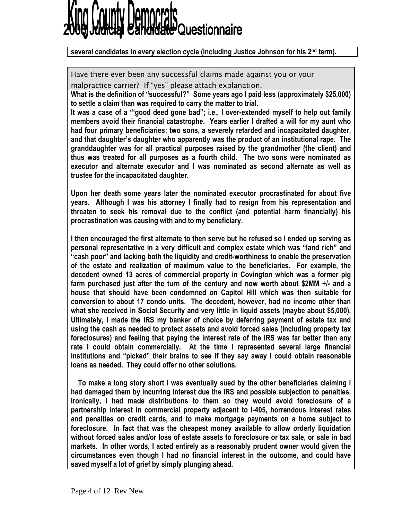

### several candidates in every election cycle (including Justice Johnson for his 2nd term).

Have there ever been any successful claims made against you or your

malpractice carrier? If "yes" please attach explanation.

What is the definition of "successful?" Some years ago I paid less (approximately \$25,000) to settle a claim than was required to carry the matter to trial.

It was a case of a "'good deed gone bad"; i.e., I over-extended myself to help out family members avoid their financial catastrophe. Years earlier I drafted a will for my aunt who had four primary beneficiaries: two sons, a severely retarded and incapacitated daughter, and that daughter's daughter who apparently was the product of an institutional rape. The granddaughter was for all practical purposes raised by the grandmother (the client) and thus was treated for all purposes as a fourth child. The two sons were nominated as executor and alternate executor and I was nominated as second alternate as well as trustee for the incapacitated daughter.

Upon her death some years later the nominated executor procrastinated for about five years. Although I was his attorney I finally had to resign from his representation and threaten to seek his removal due to the conflict (and potential harm financially) his procrastination was causing with and to my beneficiary.

I then encouraged the first alternate to then serve but he refused so I ended up serving as personal representative in a very difficult and complex estate which was "land rich" and "cash poor" and lacking both the liquidity and credit-worthiness to enable the preservation of the estate and realization of maximum value to the beneficiaries. For example, the decedent owned 13 acres of commercial property in Covington which was a former pig farm purchased just after the turn of the century and now worth about \$2MM +/- and a house that should have been condemned on Capitol Hill which was then suitable for conversion to about 17 condo units. The decedent, however, had no income other than what she received in Social Security and very little in liquid assets (maybe about \$5,000). Ultimately, I made the IRS my banker of choice by deferring payment of estate tax and using the cash as needed to protect assets and avoid forced sales (including property tax foreclosures) and feeling that paying the interest rate of the IRS was far better than any rate I could obtain commercially. At the time I represented several large financial institutions and "picked" their brains to see if they say away I could obtain reasonable loans as needed. They could offer no other solutions.

 To make a long story short I was eventually sued by the other beneficiaries claiming I had damaged them by incurring interest due the IRS and possible subjection to penalties. Ironically, I had made distributions to them so they would avoid foreclosure of a partnership interest in commercial property adjacent to I-405, horrendous interest rates and penalties on credit cards, and to make mortgage payments on a home subject to foreclosure. In fact that was the cheapest money available to allow orderly liquidation without forced sales and/or loss of estate assets to foreclosure or tax sale, or sale in bad markets. In other words, I acted entirely as a reasonably prudent owner would given the circumstances even though I had no financial interest in the outcome, and could have saved myself a lot of grief by simply plunging ahead.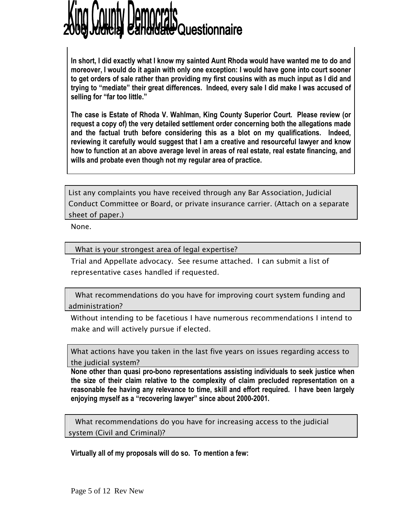# **He Questionnaire**

In short, I did exactly what I know my sainted Aunt Rhoda would have wanted me to do and moreover, I would do it again with only one exception: I would have gone into court sooner to get orders of sale rather than providing my first cousins with as much input as I did and trying to "mediate" their great differences. Indeed, every sale I did make I was accused of selling for "far too little."

The case is Estate of Rhoda V. Wahlman, King County Superior Court. Please review (or request a copy of) the very detailed settlement order concerning both the allegations made and the factual truth before considering this as a blot on my qualifications. Indeed, reviewing it carefully would suggest that I am a creative and resourceful lawyer and know how to function at an above average level in areas of real estate, real estate financing, and wills and probate even though not my regular area of practice.

List any complaints you have received through any Bar Association, Judicial Conduct Committee or Board, or private insurance carrier. (Attach on a separate sheet of paper.)

None.

What is your strongest area of legal expertise?

Trial and Appellate advocacy. See resume attached. I can submit a list of representative cases handled if requested.

 What recommendations do you have for improving court system funding and administration?

Without intending to be facetious I have numerous recommendations I intend to make and will actively pursue if elected.

What actions have you taken in the last five years on issues regarding access to the judicial system?

None other than quasi pro-bono representations assisting individuals to seek justice when the size of their claim relative to the complexity of claim precluded representation on a reasonable fee having any relevance to time, skill and effort required. I have been largely enjoying myself as a "recovering lawyer" since about 2000-2001.

 What recommendations do you have for increasing access to the judicial system (Civil and Criminal)?

Virtually all of my proposals will do so. To mention a few: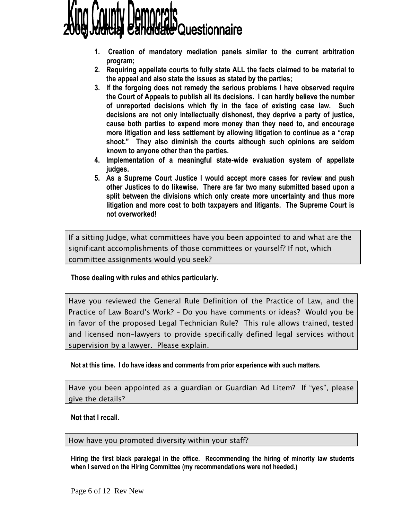

- 1. Creation of mandatory mediation panels similar to the current arbitration program;
- 2. Requiring appellate courts to fully state ALL the facts claimed to be material to the appeal and also state the issues as stated by the parties;
- 3. If the forgoing does not remedy the serious problems I have observed require the Court of Appeals to publish all its decisions. I can hardly believe the number of unreported decisions which fly in the face of existing case law. Such decisions are not only intellectually dishonest, they deprive a party of justice, cause both parties to expend more money than they need to, and encourage more litigation and less settlement by allowing litigation to continue as a "crap shoot." They also diminish the courts although such opinions are seldom known to anyone other than the parties.
- 4. Implementation of a meaningful state-wide evaluation system of appellate judges.
- 5. As a Supreme Court Justice I would accept more cases for review and push other Justices to do likewise. There are far two many submitted based upon a split between the divisions which only create more uncertainty and thus more litigation and more cost to both taxpayers and litigants. The Supreme Court is not overworked!

If a sitting Judge, what committees have you been appointed to and what are the significant accomplishments of those committees or yourself? If not, which committee assignments would you seek?

Those dealing with rules and ethics particularly.

Have you reviewed the General Rule Definition of the Practice of Law, and the Practice of Law Board's Work? – Do you have comments or ideas? Would you be in favor of the proposed Legal Technician Rule? This rule allows trained, tested and licensed non-lawyers to provide specifically defined legal services without supervision by a lawyer. Please explain.

Not at this time. I do have ideas and comments from prior experience with such matters.

Have you been appointed as a guardian or Guardian Ad Litem? If "yes", please give the details?

Not that I recall.

How have you promoted diversity within your staff?

Hiring the first black paralegal in the office. Recommending the hiring of minority law students when I served on the Hiring Committee (my recommendations were not heeded.)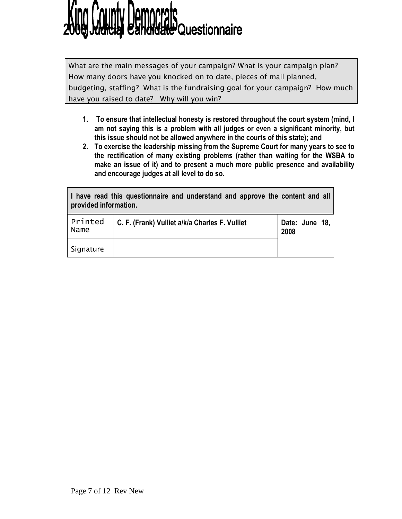# **Hill Questionnaire**

What are the main messages of your campaign? What is your campaign plan? How many doors have you knocked on to date, pieces of mail planned, budgeting, staffing? What is the fundraising goal for your campaign? How much have you raised to date? Why will you win?

- 1. To ensure that intellectual honesty is restored throughout the court system (mind, I am not saying this is a problem with all judges or even a significant minority, but this issue should not be allowed anywhere in the courts of this state); and
- 2. To exercise the leadership missing from the Supreme Court for many years to see to the rectification of many existing problems (rather than waiting for the WSBA to make an issue of it) and to present a much more public presence and availability and encourage judges at all level to do so.

| I have read this questionnaire and understand and approve the content and all<br>provided information. |                                                |                          |
|--------------------------------------------------------------------------------------------------------|------------------------------------------------|--------------------------|
| Printed<br>Name                                                                                        | C. F. (Frank) Vulliet a/k/a Charles F. Vulliet | Date: June $18,$<br>2008 |
| Signature                                                                                              |                                                |                          |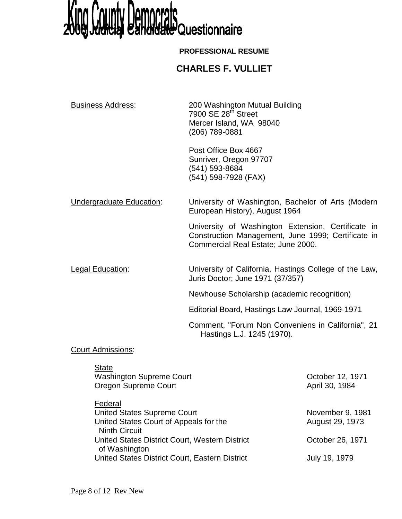

### **PROFESSIONAL RESUME**

### **CHARLES F. VULLIET**

| <b>Business Address:</b> | 200 Washington Mutual Building<br>7900 SE 28 <sup>th</sup> Street<br>Mercer Island, WA 98040<br>(206) 789-0881                                 |
|--------------------------|------------------------------------------------------------------------------------------------------------------------------------------------|
|                          | Post Office Box 4667<br>Sunriver, Oregon 97707<br>(541) 593-8684<br>(541) 598-7928 (FAX)                                                       |
| Undergraduate Education: | University of Washington, Bachelor of Arts (Modern<br>European History), August 1964                                                           |
|                          | University of Washington Extension, Certificate in<br>Construction Management, June 1999; Certificate in<br>Commercial Real Estate; June 2000. |
| <b>Legal Education:</b>  | University of California, Hastings College of the Law,<br>Juris Doctor; June 1971 (37/357)                                                     |
|                          | Newhouse Scholarship (academic recognition)                                                                                                    |
|                          | Editorial Board, Hastings Law Journal, 1969-1971                                                                                               |
|                          | Comment, "Forum Non Conveniens in California", 21<br>Hastings L.J. 1245 (1970).                                                                |
| Court Adminsional        |                                                                                                                                                |

**Court Admissions:** 

| <b>State</b><br><b>Washington Supreme Court</b><br><b>Oregon Supreme Court</b>          | October 12, 1971<br>April 30, 1984  |
|-----------------------------------------------------------------------------------------|-------------------------------------|
| Federal<br><b>United States Supreme Court</b><br>United States Court of Appeals for the | November 9, 1981<br>August 29, 1973 |
| <b>Ninth Circuit</b><br>United States District Court, Western District<br>of Washington | October 26, 1971                    |
| United States District Court, Eastern District                                          | July 19, 1979                       |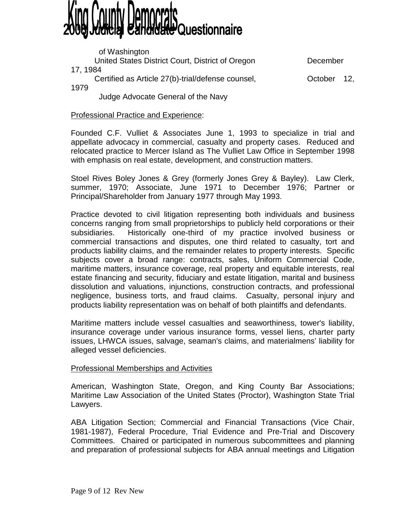# **Charle Questionnaire**

 of Washington United States District Court, District of Oregon December 17, 1984 Certified as Article 27(b)-trial/defense counsel, Certified as Article 27(b)-trial/defense counsel, 1979 Judge Advocate General of the Navy

Professional Practice and Experience:

Founded C.F. Vulliet & Associates June 1, 1993 to specialize in trial and appellate advocacy in commercial, casualty and property cases. Reduced and relocated practice to Mercer Island as The Vulliet Law Office in September 1998 with emphasis on real estate, development, and construction matters.

Stoel Rives Boley Jones & Grey (formerly Jones Grey & Bayley). Law Clerk, summer, 1970; Associate, June 1971 to December 1976; Partner or Principal/Shareholder from January 1977 through May 1993.

Practice devoted to civil litigation representing both individuals and business concerns ranging from small proprietorships to publicly held corporations or their subsidiaries. Historically one-third of my practice involved business or commercial transactions and disputes, one third related to casualty, tort and products liability claims, and the remainder relates to property interests. Specific subjects cover a broad range: contracts, sales, Uniform Commercial Code, maritime matters, insurance coverage, real property and equitable interests, real estate financing and security, fiduciary and estate litigation, marital and business dissolution and valuations, injunctions, construction contracts, and professional negligence, business torts, and fraud claims. Casualty, personal injury and products liability representation was on behalf of both plaintiffs and defendants.

Maritime matters include vessel casualties and seaworthiness, tower's liability, insurance coverage under various insurance forms, vessel liens, charter party issues, LHWCA issues, salvage, seaman's claims, and materialmens' liability for alleged vessel deficiencies.

### Professional Memberships and Activities

American, Washington State, Oregon, and King County Bar Associations; Maritime Law Association of the United States (Proctor), Washington State Trial Lawyers.

ABA Litigation Section; Commercial and Financial Transactions (Vice Chair, 1981-1987), Federal Procedure, Trial Evidence and Pre-Trial and Discovery Committees. Chaired or participated in numerous subcommittees and planning and preparation of professional subjects for ABA annual meetings and Litigation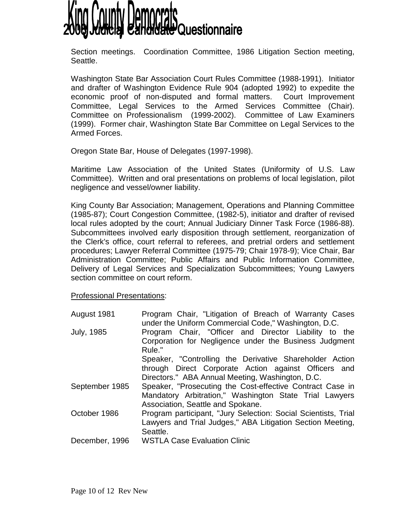

Section meetings. Coordination Committee, 1986 Litigation Section meeting, Seattle.

Washington State Bar Association Court Rules Committee (1988-1991). Initiator and drafter of Washington Evidence Rule 904 (adopted 1992) to expedite the economic proof of non-disputed and formal matters. Court Improvement Committee, Legal Services to the Armed Services Committee (Chair). Committee on Professionalism (1999-2002). Committee of Law Examiners (1999). Former chair, Washington State Bar Committee on Legal Services to the Armed Forces.

Oregon State Bar, House of Delegates (1997-1998).

Maritime Law Association of the United States (Uniformity of U.S. Law Committee). Written and oral presentations on problems of local legislation, pilot negligence and vessel/owner liability.

King County Bar Association; Management, Operations and Planning Committee (1985-87); Court Congestion Committee, (1982-5), initiator and drafter of revised local rules adopted by the court; Annual Judiciary Dinner Task Force (1986-88). Subcommittees involved early disposition through settlement, reorganization of the Clerk's office, court referral to referees, and pretrial orders and settlement procedures; Lawyer Referral Committee (1975-79; Chair 1978-9); Vice Chair, Bar Administration Committee; Public Affairs and Public Information Committee, Delivery of Legal Services and Specialization Subcommittees; Young Lawyers section committee on court reform.

### Professional Presentations:

| August 1981       | Program Chair, "Litigation of Breach of Warranty Cases<br>under the Uniform Commercial Code," Washington, D.C.                                                      |
|-------------------|---------------------------------------------------------------------------------------------------------------------------------------------------------------------|
| <b>July, 1985</b> | Program Chair, "Officer and Director Liability to the<br>Corporation for Negligence under the Business Judgment<br>Rule."                                           |
|                   | Speaker, "Controlling the Derivative Shareholder Action<br>through Direct Corporate Action against Officers and<br>Directors." ABA Annual Meeting, Washington, D.C. |
| September 1985    | Speaker, "Prosecuting the Cost-effective Contract Case in<br>Mandatory Arbitration," Washington State Trial Lawyers<br>Association, Seattle and Spokane.            |
| October 1986      | Program participant, "Jury Selection: Social Scientists, Trial<br>Lawyers and Trial Judges," ABA Litigation Section Meeting,<br>Seattle.                            |
| December, 1996    | <b>WSTLA Case Evaluation Clinic</b>                                                                                                                                 |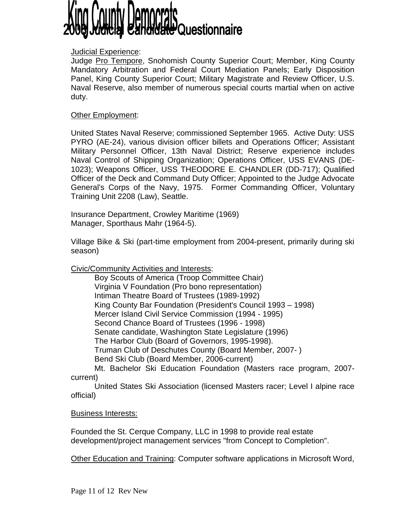## **Charle Questionnaire**

### Judicial Experience:

Judge Pro Tempore, Snohomish County Superior Court; Member, King County Mandatory Arbitration and Federal Court Mediation Panels; Early Disposition Panel, King County Superior Court; Military Magistrate and Review Officer, U.S. Naval Reserve, also member of numerous special courts martial when on active duty.

### **Other Employment:**

United States Naval Reserve; commissioned September 1965. Active Duty: USS PYRO (AE-24), various division officer billets and Operations Officer; Assistant Military Personnel Officer, 13th Naval District; Reserve experience includes Naval Control of Shipping Organization; Operations Officer, USS EVANS (DE-1023); Weapons Officer, USS THEODORE E. CHANDLER (DD-717); Qualified Officer of the Deck and Command Duty Officer; Appointed to the Judge Advocate General's Corps of the Navy, 1975. Former Commanding Officer, Voluntary Training Unit 2208 (Law), Seattle.

Insurance Department, Crowley Maritime (1969) Manager, Sporthaus Mahr (1964-5).

Village Bike & Ski (part-time employment from 2004-present, primarily during ski season)

Civic/Community Activities and Interests:

 Boy Scouts of America (Troop Committee Chair) Virginia V Foundation (Pro bono representation) Intiman Theatre Board of Trustees (1989-1992) King County Bar Foundation (President's Council 1993 – 1998) Mercer Island Civil Service Commission (1994 - 1995) Second Chance Board of Trustees (1996 - 1998) Senate candidate, Washington State Legislature (1996) The Harbor Club (Board of Governors, 1995-1998). Truman Club of Deschutes County (Board Member, 2007- ) Bend Ski Club (Board Member, 2006-current)

 Mt. Bachelor Ski Education Foundation (Masters race program, 2007 current)

 United States Ski Association (licensed Masters racer; Level I alpine race official)

Business Interests:

Founded the St. Cerque Company, LLC in 1998 to provide real estate development/project management services "from Concept to Completion".

Other Education and Training: Computer software applications in Microsoft Word,